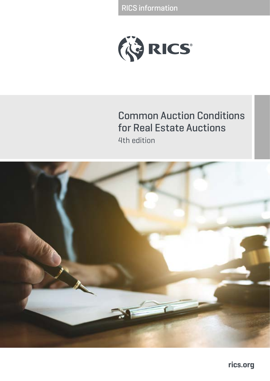RICS information



## Common Auction Conditions for Real Estate Auctions 4th edition

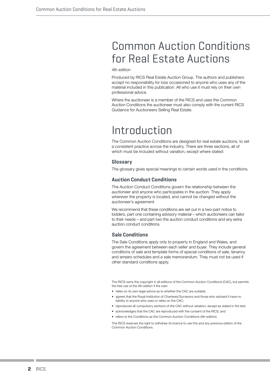## Common Auction Conditions for Real Estate Auctions

4th edition

Produced by RICS Real Estate Auction Group. The authors and publishers accept no responsibility for loss occasioned to anyone who uses any of the material included in this publication. All who use it must rely on their own professional advice.

Where the auctioneer is a member of the RICS and uses the Common Auction Conditions the auctioneer must also comply with the current RICS Guidance for Auctioneers Selling Real Estate.

## Introduction

The Common Auction Conditions are designed for real estate auctions, to set a consistent practice across the industry. There are three sections, all of which must be included without variation, except where stated:

### **Glossary**

The glossary gives special meanings to certain words used in the conditions.

## **Auction Conduct Conditions**

The Auction Conduct Conditions govern the relationship between the auctioneer and anyone who participates in the auction. They apply wherever the property is located, and cannot be changed without the auctioneer's agreement.

We recommend that these conditions are set out in a two-part notice to bidders, part one containing advisory material – which auctioneers can tailor to their needs – and part two the auction conduct conditions and any extra auction conduct conditions.

## **Sale Conditions**

The Sale Conditions apply only to property in England and Wales, and govern the agreement between each seller and buyer. They include general conditions of sale and template forms of special conditions of sale, tenancy and arrears schedules and a sale memorandum. They must not be used if other standard conditions apply.

The RICS owns the copyright in all editions of the Common Auction Conditions (CAC), but permits the free use of the 4th edition if the user:

- relies on its own legal advice as to whether the CAC are suitable;
- agrees that the Royal Institution of Chartered Surveyors and those who advised it have no liability to anyone who uses or relies on the CAC;
- reproduces all compulsory sections of the CAC without variation, except as stated in the text:
- acknowledges that the CAC are reproduced with the consent of the RICS; and
- refers to the Conditions as the Common Auction Conditions (4th edition).

The RICS reserves the right to withdraw its licence to use this and any previous edition of the Common Auction Conditions.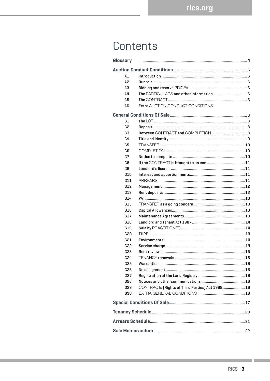## Contents

| Glossary       |                                                 |  |  |  |  |
|----------------|-------------------------------------------------|--|--|--|--|
|                |                                                 |  |  |  |  |
| A1             |                                                 |  |  |  |  |
| A <sub>2</sub> |                                                 |  |  |  |  |
| AЗ             |                                                 |  |  |  |  |
| A4             |                                                 |  |  |  |  |
| A5             |                                                 |  |  |  |  |
| A <sub>6</sub> | Extra AUCTION CONDUCT CONDITIONS                |  |  |  |  |
|                |                                                 |  |  |  |  |
| G1             |                                                 |  |  |  |  |
| G2             |                                                 |  |  |  |  |
| G3             |                                                 |  |  |  |  |
| G4             |                                                 |  |  |  |  |
| G5             |                                                 |  |  |  |  |
| G6             |                                                 |  |  |  |  |
| G7             |                                                 |  |  |  |  |
| G8             |                                                 |  |  |  |  |
| G9             |                                                 |  |  |  |  |
| G10            |                                                 |  |  |  |  |
| G11            |                                                 |  |  |  |  |
| G12            |                                                 |  |  |  |  |
| G13            |                                                 |  |  |  |  |
| G14            |                                                 |  |  |  |  |
| G15            |                                                 |  |  |  |  |
| G16            |                                                 |  |  |  |  |
| G17            |                                                 |  |  |  |  |
| G18            |                                                 |  |  |  |  |
| G19            |                                                 |  |  |  |  |
| G20            |                                                 |  |  |  |  |
|                |                                                 |  |  |  |  |
| G21            |                                                 |  |  |  |  |
| G22            |                                                 |  |  |  |  |
| G23            |                                                 |  |  |  |  |
| G24            |                                                 |  |  |  |  |
| G25            |                                                 |  |  |  |  |
| G26            |                                                 |  |  |  |  |
| <b>G27</b>     |                                                 |  |  |  |  |
| G28            |                                                 |  |  |  |  |
| G29            | CONTRACTs [Rights of Third Parties] Act 1999 16 |  |  |  |  |
| G30            |                                                 |  |  |  |  |
|                |                                                 |  |  |  |  |
|                |                                                 |  |  |  |  |
|                |                                                 |  |  |  |  |
|                |                                                 |  |  |  |  |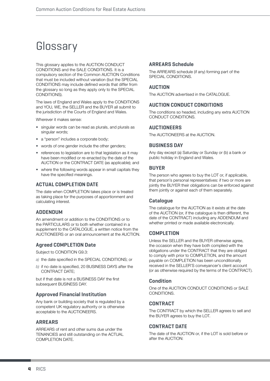# **Glossary**

This glossary applies to the AUCTION CONDUCT CONDITIONS and the SALE CONDITIONS. It is a compulsory section of the Common AUCTION Conditions that must be included without variation (but the SPECIAL CONDITIONS may include defined words that differ from the glossary so long as they apply only to the SPECIAL CONDITIONS).

The laws of England and Wales apply to the CONDITIONS and YOU, WE, the SELLER and the BUYER all submit to the jurisdiction of the Courts of England and Wales.

Wherever it makes sense:

- *•* singular words can be read as plurals, and plurals as singular words;
- a "person" includes a corporate body;
- words of one gender include the other genders;
- references to legislation are to that legislation as it may have been modified or re-enacted by the date of the AUCTION or the CONTRACT DATE (as applicable); and
- where the following words appear in small capitals they have the specified meanings.

## **ACTUAL COMPLETION DATE**

The date when COMPLETION takes place or is treated as taking place for the purposes of apportionment and calculating interest.

### **ADDENDUM**

An amendment or addition to the CONDITIONS or to the PARTICULARS or to both whether contained in a supplement to the CATALOGUE, a written notice from the AUCTIONEERS or an oral announcement at the AUCTION.

## **Agreed COMPLETION Date**

Subject to CONDITION G9.3:

- *a)* the date specified in the SPECIAL CONDITIONS; or
- *b)* if no date is specified, 20 BUSINESS DAYS after the CONTRACT DATE;

but if that date is not a BUSINESS DAY the first subsequent BUSINESS DAY.

## **Approved Financial Institution**

Any bank or building society that is regulated by a competent UK regulatory authority or is otherwise acceptable to the AUCTIONEERS.

### **ARREARS**

ARREARS of rent and other sums due under the TENANCIES and still outstanding on the ACTUAL COMPLETION DATE.

### **ARREARS Schedule**

The ARREARS schedule (if any) forming part of the SPECIAL CONDITIONS.

## **AUCTION**

The AUCTION advertised in the CATALOGUE.

### **AUCTION CONDUCT CONDITIONS**

The conditions so headed, including any extra AUCTION CONDUCT CONDITIONS.

### **AUCTIONEERS**

The AUCTIONEERS at the AUCTION.

### **BUSINESS DAY**

Any day except (a) Saturday or Sunday or (b) a bank or public holiday in England and Wales.

### **BUYER**

The person who agrees to buy the LOT or, if applicable, that person's personal representatives: if two or more are jointly the BUYER their obligations can be enforced against them jointly or against each of them separately.

### **Catalogue**

The catalogue for the AUCTION as it exists at the date of the AUCTION (or, if the catalogue is then different, the date of the CONTRACT) including any ADDENDUM and whether printed or made available electronically.

## **COMPLETION**

Unless the SELLER and the BUYER otherwise agree, the occasion when they have both complied with the obligations under the CONTRACT that they are obliged to comply with prior to COMPLETION, and the amount payable on COMPLETION has been unconditionally received in the SELLER'S conveyancer's client account (or as otherwise required by the terms of the CONTRACT).

## **Condition**

One of the AUCTION CONDUCT CONDITIONS or SALE CONDITIONS.

### **CONTRACT**

The CONTRACT by which the SELLER agrees to sell and the BUYER agrees to buy the LOT.

### **CONTRACT DATE**

The date of the AUCTION or, if the LOT is sold before or after the AUCTION: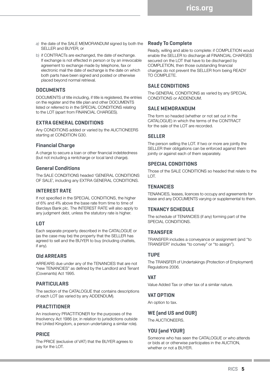- *a)* the date of the SALE MEMORANDUM signed by both the SELLER and BUYER; or
- b) if CONTRACTs are exchanged, the date of exchange. If exchange is not effected in person or by an irrevocable agreement to exchange made by telephone, fax or electronic mail the date of exchange is the date on which both parts have been signed and posted or otherwise placed beyond normal retrieval.

## **DOCUMENTS**

DOCUMENTS of title including, if title is registered, the entries on the register and the title plan and other DOCUMENTS listed or referred to in the SPECIAL CONDITIONS relating to the LOT (apart from FINANCIAL CHARGES).

## **EXTRA GENERAL CONDITIONS**

Any CONDITIONS added or varied by the AUCTIONEERS starting at CONDITION G30.

## **Financial Charge**

A charge to secure a loan or other financial indebtedness (but not including a rentcharge or local land charge).

### **General Conditions**

The SALE CONDITIONS headed 'GENERAL CONDITIONS OF SALE', including any EXTRA GENERAL CONDITIONS.

### **INTEREST RATE**

If not specified in the SPECIAL CONDITIONS, the higher of 6% and 4% above the base rate from time to time of Barclays Bank plc. The INTEREST RATE will also apply to any judgment debt, unless the statutory rate is higher.

### **LOT**

Each separate property described in the CATALOGUE or (as the case may be) the property that the SELLER has agreed to sell and the BUYER to buy (including chattels, if any).

### **Old ARREARS**

ARREARS due under any of the TENANCIES that are not "new TENANCIES" as defined by the Landlord and Tenant (Covenants) Act 1995.

## **PARTICULARS**

The section of the CATALOGUE that contains descriptions of each LOT (as varied by any ADDENDUM).

## **PRACTITIONER**

An insolvency PRACTITIONER for the purposes of the Insolvency Act 1986 (or, in relation to jurisdictions outside the United Kingdom, a person undertaking a similar role).

## **PRICE**

The PRICE (exclusive of VAT) that the BUYER agrees to pay for the LOT.

## **Ready To Complete**

Ready, willing and able to complete: if COMPLETION would enable the SELLER to discharge all FINANCIAL CHARGES secured on the LOT that have to be discharged by COMPLETION, then those outstanding financial charges do not prevent the SELLER from being READY TO COMPLETE.

## **SALE CONDITIONS**

The GENERAL CONDITIONS as varied by any SPECIAL CONDITIONS or ADDENDUM.

### **SALE MEMORANDUM**

The form so headed (whether or not set out in the CATALOGUE) in which the terms of the CONTRACT for the sale of the LOT are recorded.

## **SELLER**

The person selling the LOT. If two or more are jointly the SELLER their obligations can be enforced against them jointly or against each of them separately.

## **SPECIAL CONDITIONS**

Those of the SALE CONDITIONS so headed that relate to the LOT.

## **TENANCIES**

TENANCIES, leases, licences to occupy and agreements for lease and any DOCUMENTS varying or supplemental to them.

### **TENANCY SCHEDULE**

The schedule of TENANCIES (if any) forming part of the SPECIAL CONDITIONS.

## **TRANSFER**

TRANSFER includes a conveyance or assignment (and "to TRANSFER" includes "to convey" or "to assign").

### **TUPE**

The TRANSFER of Undertakings (Protection of Employment) Regulations 2006.

## **VAT**

Value Added Tax or other tax of a similar nature.

### **VAT OPTION**

An option to tax.

### **WE (and US and OUR)**

The AUCTIONEERS.

## **YOU (and YOUR)**

Someone who has seen the CATALOGUE or who attends or bids at or otherwise participates in the AUCTION, whether or not a BUYER.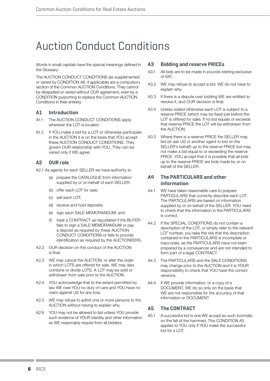# Auction Conduct Conditions

Words in small capitals have the special meanings defined in the Glossary.

The AUCTION CONDUCT CONDITIONS (as supplemented or varied by CONDITION A6, if applicable) are a compulsory section of the Common AUCTION Conditions. They cannot be disapplied or varied without OUR agreement, even by a CONDITION purporting to replace the Common AUCTION Conditions in their entirety.

## **A1 Introduction**

- A1.1 The AUCTION CONDUCT CONDITIONS apply wherever the LOT is located.
- A1.2 If YOU make a bid for a LOT or otherwise participate in the AUCTION it is on the basis that YOU accept these AUCTION CONDUCT CONDITIONS. They govern OUR relationship with YOU. They can be varied only if WE agree.

## **A2 OUR role**

A2.1 As agents for each SELLER we have authority to

- (a) prepare the CATALOGUE from information supplied by or on behalf of each SELLER;
- (b) offer each LOT for sale;
- (c) sell each LOT;
- (d) receive and hold deposits;
- (e) sign each SALE MEMORANDUM; and
- (f) treat a CONTRACT as repudiated if the BUYER fails to sign a SALE MEMORANDUM or pay a deposit as required by these AUCTION CONDUCT CONDITIONS or fails to provide identification as required by the AUCTIONEERS.
- A2.2 OUR decision on the conduct of the AUCTION is final.
- A2.3 WE may cancel the AUCTION, or alter the order in which LOTS are offered for sale. WE may also combine or divide LOTS. A LOT may be sold or withdrawn from sale prior to the AUCTION.
- A2.4 YOU acknowledge that to the extent permitted by law WE owe YOU no duty of care and YOU have no claim against US for any loss.
- A2.5 WE may refuse to admit one or more persons to the AUCTION without having to explain why.
- A2.6 YOU may not be allowed to bid unless YOU provide such evidence of YOUR identity and other information as WE reasonably require from all bidders.

## **A3 Bidding and reserve PRICEs**

- A3.1 All bids are to be made in pounds sterling exclusive of VAT.
- A3.2 WE may refuse to accept a bid. WE do not have to explain why.
- A3.3 If there is a dispute over bidding WE are entitled to resolve it, and OUR decision is final.
- A3.4 Unless stated otherwise each LOT is subject to a reserve PRICE (which may be fixed just before the LOT is offered for sale). If no bid equals or exceeds that reserve PRICE the LOT will be withdrawn from the AUCTION.
- A3.5 Where there is a reserve PRICE the SELLER may bid (or ask US or another agent to bid on the SELLER's behalf) up to the reserve PRICE but may not make a bid equal to or exceeding the reserve PRICE. YOU accept that it is possible that all bids up to the reserve PRICE are bids made by or on behalf of the SFLLER.

## **A4 The PARTICULARS and other information**

- A4.1 WE have taken reasonable care to prepare PARTICULARS that correctly describe each LOT. The PARTICULARS are based on information supplied by or on behalf of the SELLER. YOU need to check that the information in the PARTICULARS is correct.
- A4.2 If the SPECIAL CONDITIONS do not contain a description of the LOT, or simply refer to the relevant LOT number, you take the risk that the description contained in the PARTICULARS is incomplete or inaccurate, as the PARTICULARS have not been prepared by a conveyancer and are not intended to form part of a legal CONTRACT.
- A4.3 The PARTICULARS and the SALE CONDITIONS may change prior to the AUCTION and it is YOUR responsibility to check that YOU have the correct versions.
- A4.4 If WE provide information, or a copy of a DOCUMENT, WE do so only on the basis that WE are not responsible for the accuracy of that information or DOCUMENT.

## **A5 The CONTRACT**

A5.1 A successful bid is one WE accept as such (normally on the fall of the hammer). This CONDITION A5 applies to YOU only if YOU make the successful bid for a  $LOT$ .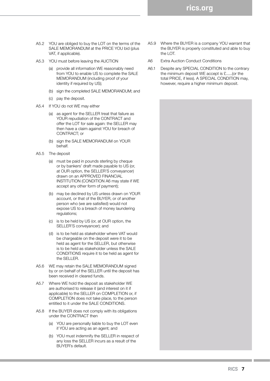- A5.2 YOU are obliged to buy the LOT on the terms of the SALE MEMORANDUM at the PRICE YOU bid (plus VAT, if applicable).
- A5.3 YOU must before leaving the AUCTION
	- (a) provide all information WE reasonably need from YOU to enable US to complete the SALE MEMORANDUM (including proof of your identity if required by US);
	- (b) sign the completed SALE MEMORANDUM; and
	- (c) pay the deposit.
- A5.4 If YOU do not WE may either
	- (a) as agent for the SELLER treat that failure as YOUR repudiation of the CONTRACT and offer the LOT for sale again: the SELLER may then have a claim against YOU for breach of CONTRACT; or
	- (b) sign the SALE MEMORANDUM on YOUR behalf.
- A5.5 The deposit
	- (a) must be paid in pounds sterling by cheque or by bankers' draft made payable to US (or, at OUR option, the SELLER'S conveyancer) drawn on an APPROVED FINANCIAL INSTITUTION (CONDITION A6 may state if WE accept any other form of payment);
	- (b) may be declined by US unless drawn on YOUR account, or that of the BUYER, or of another person who (we are satisfied) would not expose US to a breach of money laundering regulations;
	- (c) is to be held by US (or, at OUR option, the SELLER'S conveyancer); and
	- (d) is to be held as stakeholder where VAT would be chargeable on the deposit were it to be held as agent for the SELLER, but otherwise is to be held as stakeholder unless the SALE CONDITIONS require it to be held as agent for the SELLER.
- A5.6 WE may retain the SALE MEMORANDUM signed by or on behalf of the SELLER until the deposit has been received in cleared funds.
- A5.7 Where WE hold the deposit as stakeholder WE are authorised to release it (and interest on it if applicable) to the SELLER on COMPLETION or, if COMPLETION does not take place, to the person entitled to it under the SALE CONDITIONS.
- A5.8 If the BUYER does not comply with its obligations under the CONTRACT then
	- (a) YOU are personally liable to buy the LOT even if YOU are acting as an agent; and
	- (b) YOU must indemnify the SELLER in respect of any loss the SELLER incurs as a result of the BUYER's default.
- A5.9 Where the BUYER is a company YOU warrant that the BUYER is properly constituted and able to buy the LOT.
- A6 Extra Auction Conduct Conditions
- A6.1 Despite any SPECIAL CONDITION to the contrary the minimum deposit WE accept is £......(or the total PRICE, if less). A SPECIAL CONDITION may, however, require a higher minimum deposit.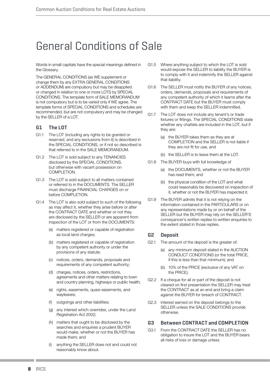# General Conditions of Sale

Words in small capitals have the special meanings defined in the Glossary.

The GENERAL CONDITIONS (as WE supplement or change them by any EXTRA GENERAL CONDITIONS or ADDENDUM) are compulsory but may be disapplied or changed in relation to one or more LOTS by SPECIAL CONDITIONS. The template form of SALE MEMORANDUM is not compulsory but is to be varied only if WE agree. The template forms of SPECIAL CONDITIONS and schedules are recommended, but are not compulsory and may be changed by the SELLER of a LOT.

## **G1 The LOT**

- G1.1 The LOT (including any rights to be granted or reserved, and any exclusions from it) is described in the SPECIAL CONDITIONS, or if not so described is that referred to in the SALE MEMORANDUM.
- G1.2 The LOT is sold subject to any TENANCIES disclosed by the SPECIAL CONDITIONS, but otherwise with vacant possession on COMPLETION.
- G1.3 The LOT is sold subject to all matters contained or referred to in the DOCUMENTS. The SELLER must discharge FINANCIAL CHARGES on or before COMPLETION.
- G1.4 The LOT is also sold subject to such of the following as may affect it, whether they arise before or after the CONTRACT DATE and whether or not they are disclosed by the SELLER or are apparent from inspection of the LOT or from the DOCUMENTS:
	- (a) matters registered or capable of registration as local land charges;
	- (b) matters registered or capable of registration by any competent authority or under the provisions of any statute;
	- (c) notices, orders, demands, proposals and requirements of any competent authority;
	- (d) charges, notices, orders, restrictions, agreements and other matters relating to town and country planning, highways or public health;
	- (e) rights, easements, quasi-easements, and wayleaves;
	- (f) outgoings and other liabilities;
	- (g) any interest which overrides, under the Land Registration Act 2002;
	- (h) matters that ought to be disclosed by the searches and enquiries a prudent BUYER would make, whether or not the BUYER has made them; and
	- (i) anything the SELLER does not and could not reasonably know about.
- G1.5 Where anything subject to which the LOT is sold would expose the SELLER to liability the BUYER is to comply with it and indemnify the SELLER against that liability.
- G1.6 The SELLER must notify the BUYER of any notices, orders, demands, proposals and requirements of any competent authority of which it learns after the CONTRACT DATE but the BUYER must comply with them and keep the SELLER indemnified.
- G1.7 The LOT does not include any tenant's or trade fixtures or fittings. The SPECIAL CONDITIONS state whether any chattels are included in the LOT, but if they are:
	- (a) the BUYER takes them as they are at COMPLETION and the SELLER is not liable if they are not fit for use, and
	- (b) the SELLER is to leave them at the LOT.
- G1.8 The BUYER buys with full knowledge of
	- (a) the DOCUMENTS, whether or not the BUYER has read them; and
	- (b) the physical condition of the LOT and what could reasonably be discovered on inspection of it, whether or not the BUYER has inspected it.
- G1.9 The BUYER admits that it is not relying on the information contained in the PARTICULARS or on any representations made by or on behalf of the SELLER but the BUYER may rely on the SELLER'S conveyancer's written replies to written enquiries to the extent stated in those replies.

## **G2 Deposit**

- G2.1 The amount of the deposit is the greater of:
	- (a) any minimum deposit stated in the AUCTION CONDUCT CONDITIONS (or the total PRICE, if this is less than that minimum); and
	- (b) 10% of the PRICE (exclusive of any VAT on the PRICE).
- G2.2 If a cheque for all or part of the deposit is not cleared on first presentation the SELLER may treat the CONTRACT as at an end and bring a claim against the BUYER for breach of CONTRACT.
- G2.3 Interest earned on the deposit belongs to the SELLER unless the SALE CONDITIONS provide otherwise.

## **G3 Between CONTRACT and COMPLETION**

G3.1 From the CONTRACT DATE the SELLER has no obligation to insure the LOT and the BUYER bears all risks of loss or damage unless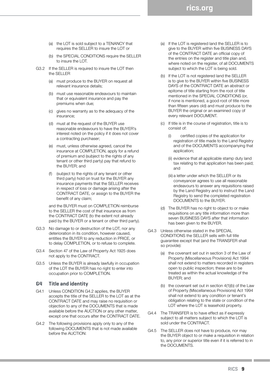- (a) the LOT is sold subject to a TENANCY that requires the SELLER to insure the LOT or
- (b) the SPECIAL CONDITIONS require the SELLER to insure the LOT.
- G3.2 If the SELLER is required to insure the LOT then the SELLER
	- (a) must produce to the BUYER on request all relevant insurance details;
	- (b) must use reasonable endeavours to maintain that or equivalent insurance and pay the premiums when due;
	- (c) gives no warranty as to the adequacy of the insurance;
	- (d) must at the request of the BUYER use reasonable endeavours to have the BUYER's interest noted on the policy if it does not cover a contracting purchaser;
	- (e) must, unless otherwise agreed, cancel the insurance at COMPLETION, apply for a refund of premium and (subject to the rights of any tenant or other third party) pay that refund to the BUYER; and
	- (f) (subject to the rights of any tenant or other third party) hold on trust for the BUYER any insurance payments that the SELLER receives in respect of loss or damage arising after the CONTRACT DATE, or assign to the BUYER the benefit of any claim;

and the BUYER must on COMPLETION reimburse to the SELLER the cost of that insurance as from the CONTRACT DATE (to the extent not already paid by the BUYER or a tenant or other third party).

- G3.3 No damage to or destruction of the LOT, nor any deterioration in its condition, however caused, entitles the BUYER to any reduction in PRICE, or to delay COMPLETION, or to refuse to complete.
- G3.4 Section 47 of the Law of Property Act 1925 does not apply to the CONTRACT.
- G3.5 Unless the BUYER is already lawfully in occupation of the LOT the BUYER has no right to enter into occupation prior to COMPLETION.

### **G4 Title and identity**

- G4.1 Unless CONDITION G4.2 applies, the BUYER accepts the title of the SELLER to the LOT as at the CONTRACT DATE and may raise no requisition or objection to any of the DOCUMENTS that is made available before the AUCTION or any other matter, except one that occurs after the CONTRACT DATE.
- G4.2 The following provisions apply only to any of the following DOCUMENTS that is not made available before the AUCTION:

(a) If the LOT is registered land the SELLER is to give to the BUYER within five BUSINESS DAYS of the CONTRACT DATE an official copy of the entries on the register and title plan and, where noted on the register, of all DOCUMENTS subject to which the LOT is being sold.

**rics.org**

- (b) If the LOT is not registered land the SELLER is to give to the BUYER within five BUSINESS DAYS of the CONTRACT DATE an abstract or epitome of title starting from the root of title mentioned in the SPECIAL CONDITIONS (or, if none is mentioned, a good root of title more than fifteen years old) and must produce to the BUYER the original or an examined copy of every relevant DOCUMENT.
- (c) If title is in the course of registration, title is to consist of:
	- (i) certified copies of the application for registration of title made to the Land Registry and of the DOCUMENTS accompanying that application;
	- (ii) evidence that all applicable stamp duty land tax relating to that application has been paid; and
	- (iii) a letter under which the SELLER or its conveyancer agrees to use all reasonable endeavours to answer any requisitions raised by the Land Registry and to instruct the Land Registry to send the completed registration DOCUMENTS to the BUYER.
- (d) The BUYER has no right to object to or make requisitions on any title information more than seven BUSINESS DAYS after that information has been given to the BUYER.
- G4.3 Unless otherwise stated in the SPECIAL CONDITIONS the SELLER sells with full title guarantee except that (and the TRANSFER shall so provide):
	- (a) the covenant set out in section 3 of the Law of Property (Miscellaneous Provisions) Act 1994 shall not extend to matters recorded in registers open to public inspection; these are to be treated as within the actual knowledge of the BUYER; and
	- (b) the covenant set out in section 4(1)(b) of the Law of Property (Miscellaneous Provisions) Act 1994 shall not extend to any condition or tenant's obligation relating to the state or condition of the LOT where the LOT is leasehold property.
- G4.4 The TRANSFER is to have effect as if expressly subject to all matters subject to which the LOT is sold under the CONTRACT.
- G4.5 The SELLER does not have to produce, nor may the BUYER object to or make a requisition in relation to, any prior or superior title even if it is referred to in the DOCUMENTS.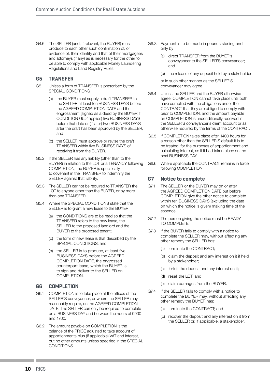G4.6 The SELLER (and, if relevant, the BUYER) must produce to each other such confirmation of, or evidence of, their identity and that of their mortgagees and attorneys (if any) as is necessary for the other to be able to comply with applicable Money Laundering Regulations and Land Registry Rules.

## **G5 TRANSFER**

- G5.1 Unless a form of TRANSFER is prescribed by the SPECIAL CONDITIONS
	- (a) the BUYER must supply a draft TRANSFER to the SELLER at least ten BUSINESS DAYS before the AGREED COMPLETION DATE and the engrossment (signed as a deed by the BUYER if CONDITION G5.2 applies) five BUSINESS DAYS before that date or (if later) two BUSINESS DAYS after the draft has been approved by the SELLER; and
	- (b) the SELLER must approve or revise the draft TRANSFER within five BUSINESS DAYS of receiving it from the BUYER.
- G5.2 If the SELLER has any liability (other than to the BUYER) in relation to the LOT or a TENANCY following COMPLETION, the BUYER is specifically to covenant in the TRANSFER to indemnify the SELLER against that liability.
- G5.3 The SELLER cannot be required to TRANSFER the LOT to anyone other than the BUYER, or by more than one TRANSFER.
- G5.4 Where the SPECIAL CONDITIONS state that the SELLER is to grant a new lease to the BUYER
	- (a) the CONDITIONS are to be read so that the TRANSFER refers to the new lease, the SELLER to the proposed landlord and the BUYER to the proposed tenant;
	- (b) the form of new lease is that described by the SPECIAL CONDITIONS; and
	- (c) the SELLER is to produce, at least five BUSINESS DAYS before the AGREED COMPLETION DATE, the engrossed counterpart lease, which the BUYER is to sign and deliver to the SELLER on COMPLETION.

### **G6 COMPLETION**

- G6.1 COMPLETION is to take place at the offices of the SELLER'S conveyancer, or where the SELLER may reasonably require, on the AGREED COMPLETION DATE. The SELLER can only be required to complete on a BUSINESS DAY and between the hours of 0930 and 1700.
- G6.2 The amount payable on COMPLETION is the balance of the PRICE adjusted to take account of apportionments plus (if applicable) VAT and interest, but no other amounts unless specified in the SPECIAL **CONDITIONS**
- G6.3 Payment is to be made in pounds sterling and only by
	- (a) direct TRANSFER from the BUYER's conveyancer to the SELLER'S conveyancer; and
	- (b) the release of any deposit held by a stakeholder

or in such other manner as the SELLER'S conveyancer may agree.

- G6.4 Unless the SELLER and the BUYER otherwise agree, COMPLETION cannot take place until both have complied with the obligations under the CONTRACT that they are obliged to comply with prior to COMPLETION, and the amount payable on COMPLETION is unconditionally received in the SELLER'S conveyancer's client account or as otherwise required by the terms of the CONTRACT.
- G6.5 If COMPLETION takes place after 1400 hours for a reason other than the SELLER'S default it is to be treated, for the purposes of apportionment and calculating interest, as if it had taken place on the next BUSINESS DAY.
- G6.6 Where applicable the CONTRACT remains in force following COMPLETION.

## **G7 Notice to complete**

- G7.1 The SELLER or the BUYER may on or after the AGREED COMPLETION DATE but before COMPLETION give the other notice to complete within ten BUSINESS DAYS (excluding the date on which the notice is given) making time of the essence.
- G7.2 The person giving the notice must be READY TO COMPLETE.
- G7.3 If the BUYER fails to comply with a notice to complete the SELLER may, without affecting any other remedy the SELLER has:
	- (a) terminate the CONTRACT;
	- (b) claim the deposit and any interest on it if held by a stakeholder;
	- (c) forfeit the deposit and any interest on it;
	- (d) resell the LOT; and
	- (e) claim damages from the BUYER.
- G7.4 If the SELLER fails to comply with a notice to complete the BUYER may, without affecting any other remedy the BUYER has:
	- (a) terminate the CONTRACT; and
	- (b) recover the deposit and any interest on it from the SELLER or, if applicable, a stakeholder.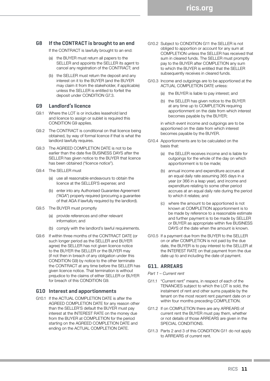## **G8 If the CONTRACT is brought to an end**

If the CONTRACT is lawfully brought to an end:

- (a) the BUYER must return all papers to the SELLER and appoints the SELLER its agent to cancel any registration of the CONTRACT; and
- (b) the SELLER must return the deposit and any interest on it to the BUYER (and the BUYER may claim it from the stakeholder, if applicable) unless the SELLER is entitled to forfeit the deposit under CONDITION G7.3.

## **G9 Landlord's licence**

- G9.1 Where the LOT is or includes leasehold land and licence to assign or sublet is required this CONDITION G9 applies.
- G9.2 The CONTRACT is conditional on that licence being obtained, by way of formal licence if that is what the landlord lawfully requires.
- G9.3 The AGREED COMPLETION DATE is not to be earlier than the date five BUSINESS DAYS after the SELLER has given notice to the BUYER that licence has been obtained ("licence notice").
- G9.4 The SELLER must
	- (a) use all reasonable endeavours to obtain the licence at the SELLER'S expense; and
	- (b) enter into any Authorised Guarantee Agreement ("AGA") properly required (procuring a guarantee of that AGA if lawfully required by the landlord).
- G9.5 The BUYER must promptly
	- (a) provide references and other relevant information; and
	- (b) comply with the landlord's lawful requirements.
- G9.6 If within three months of the CONTRACT DATE (or such longer period as the SELLER and BUYER agree) the SELLER has not given licence notice to the BUYER the SELLER or the BUYER may (if not then in breach of any obligation under this CONDITION G9) by notice to the other terminate the CONTRACT at any time before the SELLER has given licence notice. That termination is without prejudice to the claims of either SELLER or BUYER for breach of this CONDITION G9.

## **G10 Interest and apportionments**

G10.1 If the ACTUAL COMPLETION DATE is after the AGREED COMPLETION DATE for any reason other than the SELLER'S default the BUYER must pay interest at the INTEREST RATE on the money due from the BUYER at COMPLETION for the period starting on the AGREED COMPLETION DATE and ending on the ACTUAL COMPLETION DATE.

- G10.2 Subject to CONDITION G11 the SELLER is not obliged to apportion or account for any sum at COMPLETION unless the SELLER has received that sum in cleared funds. The SELLER must promptly pay to the BUYER after COMPLETION any sum to which the BUYER is entitled that the SELLER subsequently receives in cleared funds.
- G10.3 Income and outgoings are to be apportioned at the ACTUAL COMPLETION DATE unless:
	- (a) the BUYER is liable to pay interest; and
	- (b) the SELLER has given notice to the BUYER at any time up to COMPLETION requiring apportionment on the date from which interest becomes payable by the BUYER;

in which event income and outgoings are to be apportioned on the date from which interest becomes payable by the BUYER.

- G10.4 Apportionments are to be calculated on the basis that:
	- (a) the SELLER receives income and is liable for outgoings for the whole of the day on which apportionment is to be made;
	- (b) annual income and expenditure accrues at an equal daily rate assuming 365 days in a year (or 366 in a leap year), and income and expenditure relating to some other period accrues at an equal daily rate during the period to which it relates; and
	- (c) where the amount to be apportioned is not known at COMPLETION apportionment is to be made by reference to a reasonable estimate and further payment is to be made by SELLER or BUYER as appropriate within five BUSINESS DAYS of the date when the amount is known.
- G10.5 If a payment due from the BUYER to the SELLER on or after COMPLETION is not paid by the due date, the BUYER is to pay interest to the SELLER at the INTEREST RATE on that payment from the due date up to and including the date of payment.

## **G11. ARREARS**

#### *Part 1 – Current rent*

- G11.1 "Current rent" means, in respect of each of the TENANCIES subject to which the LOT is sold, the instalment of rent and other sums payable by the tenant on the most recent rent payment date on or within four months preceding COMPLETION.
- G11.2 If on COMPLETION there are any ARREARS of current rent the BUYER must pay them, whether or not details of those ARREARS are given in the SPECIAL CONDITIONS.
- G11.3 Parts 2 and 3 of this CONDITION G11 do not apply to ARREARS of current rent.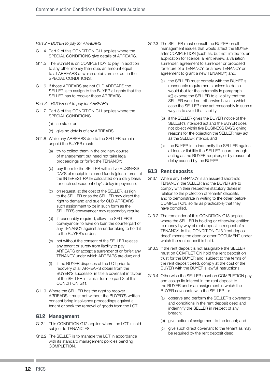#### *Part 2 – BUYER to pay for ARREARS*

- G11.4 Part 2 of this CONDITION G11 applies where the SPECIAL CONDITIONS give details of ARREARS.
- G11.5 The BUYER is on COMPLETION to pay, in addition to any other money then due, an amount equal to all ARREARS of which details are set out in the SPECIAL CONDITIONS.
- G11.6 If those ARREARS are not OLD ARREARS the SELLER is to assign to the BUYER all rights that the SELLER has to recover those ARREARS.
- *Part 3 BUYER not to pay for ARREARS*
- G11.7 Part 3 of this CONDITION G11 applies where the SPECIAL CONDITIONS
	- (a) so state; or
	- (b) give no details of any ARREARS.
- G11.8 While any ARREARS due to the SELLER remain unpaid the BUYER must:
	- (a) try to collect them in the ordinary course of management but need not take legal proceedings or forfeit the TENANCY;
	- (b) pay them to the SELLER within five BUSINESS DAYS of receipt in cleared funds (plus interest at the INTEREST RATE calculated on a daily basis for each subsequent day's delay in payment);
	- (c) on request, at the cost of the SELLER, assign to the SELLER or as the SELLER may direct the right to demand and sue for OLD ARREARS, such assignment to be in such form as the SELLER'S conveyancer may reasonably require:
	- (d) if reasonably required, allow the SELLER'S conveyancer to have on loan the counterpart of any TENANCY against an undertaking to hold it to the BUYER's order;
	- (e) not without the consent of the SELLER release any tenant or surety from liability to pay ARREARS or accept a surrender of or forfeit any TENANCY under which ARREARS are due; and
	- (f) if the BUYER disposes of the LOT prior to recovery of all ARREARS obtain from the BUYER'S successor in title a covenant in favour of the SELLER in similar form to part 3 of this CONDITION G11.
- G11.9 Where the SELLER has the right to recover ARREARS it must not without the BUYER'S written consent bring insolvency proceedings against a tenant or seek the removal of goods from the LOT.

## **G12 Management**

- G12.1 This CONDITION G12 applies where the LOT is sold subject to TENANCIES.
- G12.2 The SELLER is to manage the LOT in accordance with its standard management policies pending COMPLETION.
- G12.3 The SELLER must consult the BUYER on all management issues that would affect the BUYER after COMPLETION (such as, but not limited to, an application for licence; a rent review; a variation, surrender, agreement to surrender or proposed forfeiture of a TENANCY; or a new TENANCY or agreement to grant a new TENANCY) and:
	- (a) the SELLER must comply with the BUYER's reasonable requirements unless to do so would (but for the indemnity in paragraph (c)) expose the SELLER to a liability that the SELLER would not otherwise have, in which case the SELLER may act reasonably in such a way as to avoid that liability;
	- (b) if the SELLER gives the BUYER notice of the SELLER's intended act and the BUYER does not object within five BUSINESS DAYS giving reasons for the objection the SELLER may act as the SELLER intends; and
	- (c) the BUYER is to indemnify the SELLER against all loss or liability the SELLER incurs through acting as the BUYER requires, or by reason of delay caused by the BUYER.

## **G13 Rent deposits**

- G13.1 Where any TENANCY is an assured shorthold TENANCY, the SELLER and the BUYER are to comply with their respective statutory duties in relation to the protection of tenants' deposits, and to demonstrate in writing to the other (before COMPLETION, so far as practicable) that they have complied.
- G13.2 The remainder of this CONDITION G13 applies where the SELLER is holding or otherwise entitled to money by way of rent deposit in respect of a TENANCY. In this CONDITION G13 "rent deposit deed" means the deed or other DOCUMENT under which the rent deposit is held.
- G13.3 If the rent deposit is not assignable the SELLER must on COMPLETION hold the rent deposit on trust for the BUYER and, subject to the terms of the rent deposit deed, comply at the cost of the BUYER with the BUYER's lawful instructions.
- G13.4 Otherwise the SELLER must on COMPLETION pay and assign its interest in the rent deposit to the BUYER under an assignment in which the BUYER covenants with the SELLER to:
	- (a) observe and perform the SELLER's covenants and conditions in the rent deposit deed and indemnify the SELLER in respect of any breach;
	- (b) give notice of assignment to the tenant; and
	- (c) give such direct covenant to the tenant as may be required by the rent deposit deed.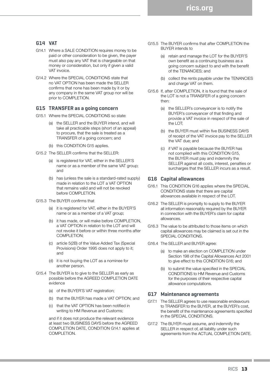## **G14 VAT**

- G14.1 Where a SALE CONDITION requires money to be paid or other consideration to be given, the payer must also pay any VAT that is chargeable on that money or consideration, but only if given a valid VAT invoice.
- G14.2 Where the SPECIAL CONDITIONS state that no VAT OPTION has been made the SELLER confirms that none has been made by it or by any company in the same VAT group nor will be prior to COMPLETION.

### **G15 TRANSFER as a going concern**

- G15.1 Where the SPECIAL CONDITIONS so state:
	- (a) the SELLER and the BUYER intend, and will take all practicable steps (short of an appeal) to procure, that the sale is treated as a TRANSFER of a going concern; and
	- (b) this CONDITION G15 applies.
- G15.2 The SELLER confirms that the SELLER:
	- (a) is registered for VAT, either in the SELLER'S name or as a member of the same VAT group; and
	- (b) has (unless the sale is a standard-rated supply) made in relation to the LOT a VAT OPTION that remains valid and will not be revoked before COMPLETION.
- G15.3 The BUYER confirms that
	- (a) it is registered for VAT, either in the BUYER'S name or as a member of a VAT group;
	- (b) it has made, or will make before COMPLETION, a VAT OPTION in relation to the LOT and will not revoke it before or within three months after COMPLETION;
	- (c) article 5(2B) of the Value Added Tax (Special Provisions) Order 1995 does not apply to it; and
	- (d) it is not buying the LOT as a nominee for another person.
- G15.4 The BUYER is to give to the SELLER as early as possible before the AGREED COMPLETION DATE evidence
	- (a) of the BUYER'S VAT registration:
	- (b) that the BUYER has made a VAT OPTION; and
	- (c) that the VAT OPTION has been notified in writing to HM Revenue and Customs;

and if it does not produce the relevant evidence at least two BUSINESS DAYS before the AGREED COMPLETION DATE, CONDITION G14.1 applies at COMPLETION.

- G15.5 The BUYER confirms that after COMPLETION the BUYER intends to
	- (a) retain and manage the LOT for the BUYER'S own benefit as a continuing business as a going concern subject to and with the benefit of the TENANCIES; and
	- (b) collect the rents payable under the TENANCIES and charge VAT on them.
- G15.6 If, after COMPLETION, it is found that the sale of the LOT is not a TRANSFER of a going concern then:
	- (a) the SELLER's conveyancer is to notify the BUYER's conveyancer of that finding and provide a VAT invoice in respect of the sale of the LOT;
	- (b) the BUYER must within five BUSINESS DAYS of receipt of the VAT invoice pay to the SELLER the VAT due; and
	- (c) if VAT is payable because the BUYER has not complied with this CONDITION G15, the BUYER must pay and indemnify the SELLER against all costs, interest, penalties or surcharges that the SELLER incurs as a result.

### **G16 Capital allowances**

- G16.1 This CONDITION G16 applies where the SPECIAL CONDITIONS state that there are capital allowances available in respect of the LOT.
- G16.2 The SELLER is promptly to supply to the BUYER all information reasonably required by the BUYER in connection with the BUYER's claim for capital allowances.
- G16.3 The value to be attributed to those items on which capital allowances may be claimed is set out in the SPECIAL CONDITIONS.
- G16.4 The SELLER and BUYER agree:
	- (a) to make an election on COMPLETION under Section 198 of the Capital Allowances Act 2001 to give effect to this CONDITION G16; and
	- (b) to submit the value specified in the SPECIAL CONDITIONS to HM Revenue and Customs for the purposes of their respective capital allowance computations.

#### **G17 Maintenance agreements**

- G17.1 The SELLER agrees to use reasonable endeavours to TRANSFER to the BUYER, at the BUYER's cost, the benefit of the maintenance agreements specified in the SPECIAL CONDITIONS.
- G17.2 The BUYER must assume, and indemnify the SELLER in respect of, all liability under such agreements from the ACTUAL COMPLETION DATE.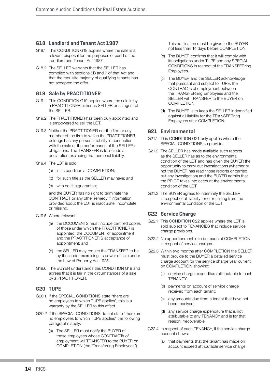## **G18 Landlord and Tenant Act 1987**

- G18.1 This CONDITION G18 applies where the sale is a relevant disposal for the purposes of part I of the Landlord and Tenant Act 1987
- G18.2 The SELLER warrants that the SELLER has complied with sections 5B and 7 of that Act and that the requisite majority of qualifying tenants has not accepted the offer.

## **G19 Sale by PRACTITIONER**

- G19.1 This CONDITION G19 applies where the sale is by a PRACTITIONER either as SELLER or as agent of the SELLER.
- G19.2 The PRACTITIONER has been duly appointed and is empowered to sell the LOT.
- G19.3 Neither the PRACTITIONER nor the firm or any member of the firm to which the PRACTITIONER belongs has any personal liability in connection with the sale or the performance of the SELLER's obligations. The TRANSFER is to include a declaration excluding that personal liability.
- G19.4 The LOT is sold
	- (a) in its condition at COMPLETION;
	- (b) for such title as the SELLER may have; and
	- (c) with no title guarantee;

and the BUYER has no right to terminate the CONTRACT or any other remedy if information provided about the LOT is inaccurate, incomplete or missing.

- G19.5 Where relevant:
	- (a) the DOCUMENTS must include certified copies of those under which the PRACTITIONER is appointed, the DOCUMENT of appointment and the PRACTITIONER'S acceptance of appointment; and
	- (b) the SELLER may require the TRANSFER to be by the lender exercising its power of sale under the Law of Property Act 1925.
- G19.6 The BUYER understands this CONDITION G19 and agrees that it is fair in the circumstances of a sale by a PRACTITIONER.

### **G20 TUPE**

- G20.1 If the SPECIAL CONDITIONS state "there are no employees to which TUPE applies", this is a warranty by the SELLER to this effect.
- G20.2 If the SPECIAL CONDITIONS do not state "there are no employees to which TUPE applies" the following paragraphs apply:
	- (a) The SELLER must notify the BUYER of those employees whose CONTRACTs of employment will TRANSFER to the BUYER on COMPLETION (the "Transferring Employees").

This notification must be given to the BUYER not less than 14 days before COMPLETION.

- (b) The BUYER confirms that it will comply with its obligations under TUPE and any SPECIAL CONDITIONS in respect of the TRANSFERring Employees.
- (c) The BUYER and the SELLER acknowledge that pursuant and subject to TUPE, the CONTRACTs of employment between the TRANSFERring Employees and the SELLER will TRANSFER to the BUYER on COMPLETION
- (d) The BUYER is to keep the SELLER indemnified against all liability for the TRANSFERring Employees after COMPLETION.

## **G21 Environmental**

- G21.1 This CONDITION G21 only applies where the SPECIAL CONDITIONS so provide.
- G21.2 The SELLER has made available such reports as the SELLER has as to the environmental condition of the LOT and has given the BUYER the opportunity to carry out investigations (whether or not the BUYER has read those reports or carried out any investigation) and the BUYER admits that the PRICE takes into account the environmental condition of the LOT
- G21.3 The BUYER agrees to indemnify the SELLER in respect of all liability for or resulting from the environmental condition of the LOT.

## **G22 Service Charge**

- G22.1 This CONDITION G22 applies where the LOT is sold subject to TENANCIES that include service charge provisions.
- G22.2 No apportionment is to be made at COMPLETION in respect of service charges.
- G22.3 Within two months after COMPLETION the SELLER must provide to the BUYER a detailed service charge account for the service charge year current on COMPLETION showing:
	- (a) service charge expenditure attributable to each TENANCY;
	- (b) payments on account of service charge received from each tenant;
	- (c) any amounts due from a tenant that have not been received;
	- (d) any service charge expenditure that is not attributable to any TENANCY and is for that reason irrecoverable.
- G22.4 In respect of each TENANCY, if the service charge account shows:
	- (a) that payments that the tenant has made on account exceed attributable service charge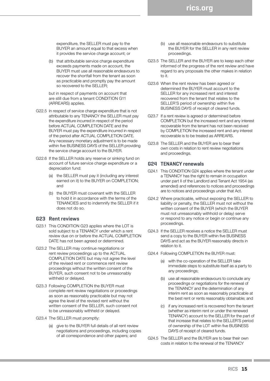**rics.org**

expenditure, the SELLER must pay to the BUYER an amount equal to that excess when it provides the service charge account; or

(b) that attributable service charge expenditure exceeds payments made on account, the BUYER must use all reasonable endeavours to recover the shortfall from the tenant as soon as practicable and promptly pay the amount so recovered to the SELLER;

but in respect of payments on account that are still due from a tenant CONDITION G11 (ARREARS) applies.

- G22.5 In respect of service charge expenditure that is not attributable to any TENANCY the SELLER must pay the expenditure incurred in respect of the period before ACTUAL COMPLETION DATE and the BUYER must pay the expenditure incurred in respect of the period after ACTUAL COMPLETION DATE. Any necessary monetary adjustment is to be made within five BUSINESS DAYS of the SELLER providing the service charge account to the BUYER.
- G22.6 If the SELLER holds any reserve or sinking fund on account of future service charge expenditure or a depreciation fund:
	- (a) the SELLER must pay it (including any interest earned on it) to the BUYER on COMPLETION; and
	- (b) the BUYER must covenant with the SELLER to hold it in accordance with the terms of the TENANCIES and to indemnify the SELLER if it does not do so.

### **G23 Rent reviews**

- G23.1 This CONDITION G23 applies where the LOT is sold subject to a TENANCY under which a rent review due on or before the ACTUAL COMPLETION DATE has not been agreed or determined.
- G23.2 The SELLER may continue negotiations or rent review proceedings up to the ACTUAL COMPLETION DATE but may not agree the level of the revised rent or commence rent review proceedings without the written consent of the BUYER, such consent not to be unreasonably withheld or delayed.
- G23.3 Following COMPLETION the BUYER must complete rent review negotiations or proceedings as soon as reasonably practicable but may not agree the level of the revised rent without the written consent of the SELLER, such consent not to be unreasonably withheld or delayed.
- G23.4 The SELLER must promptly:
	- (a) give to the BUYER full details of all rent review negotiations and proceedings, including copies of all correspondence and other papers; and
- (b) use all reasonable endeavours to substitute the BUYER for the SELLER in any rent review proceedings.
- G23.5 The SELLER and the BUYER are to keep each other informed of the progress of the rent review and have regard to any proposals the other makes in relation to it.
- G23.6 When the rent review has been agreed or determined the BUYER must account to the SELLER for any increased rent and interest recovered from the tenant that relates to the SELLER'S period of ownership within five BUSINESS DAYS of receipt of cleared funds.
- G23.7 If a rent review is agreed or determined before COMPLETION but the increased rent and any interest recoverable from the tenant has not been received by COMPLETION the increased rent and any interest recoverable is to be treated as ARREARS.
- G23.8 The SELLER and the BUYER are to bear their own costs in relation to rent review negotiations and proceedings.

### **G24 TENANCY renewals**

- G24.1 This CONDITION G24 applies where the tenant under a TENANCY has the right to remain in occupation under part II of the Landlord and Tenant Act 1954 (as amended) and references to notices and proceedings are to notices and proceedings under that Act.
- G24.2 Where practicable, without exposing the SELLER to liability or penalty, the SELLER must not without the written consent of the BUYER (which the BUYER must not unreasonably withhold or delay) serve or respond to any notice or begin or continue any proceedings.
- G24.3 If the SELLER receives a notice the SELLER must send a copy to the BUYER within five BUSINESS DAYS and act as the BUYER reasonably directs in relation to it.
- G24.4 Following COMPLETION the BUYER must:
	- (a) with the co-operation of the SELLER take immediate steps to substitute itself as a party to any proceedings;
	- (b) use all reasonable endeavours to conclude any proceedings or negotiations for the renewal of the TENANCY and the determination of any interim rent as soon as reasonably practicable at the best rent or rents reasonably obtainable; and
	- (c) if any increased rent is recovered from the tenant (whether as interim rent or under the renewed TENANCY) account to the SELLER for the part of that increase that relates to the SELLER'S period of ownership of the LOT within five BUSINESS DAYS of receipt of cleared funds.
- G24.5 The SELLER and the BUYER are to bear their own costs in relation to the renewal of the TENANCY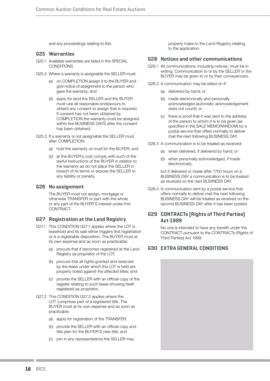and any proceedings relating to this.

#### **G25 Warranties**

- G25.1 Available warranties are listed in the SPECIAL CONDITIONS.
- G25.2 Where a warranty is assignable the SELLER must:
	- (a) on COMPLETION assign it to the BUYER and give notice of assignment to the person who gave the warranty; and
	- (b) apply for (and the SELLER and the BUYER must use all reasonable endeavours to obtain) any consent to assign that is required. If consent has not been obtained by COMPLETION the warranty must be assigned within five BUSINESS DAYS after the consent has been obtained.
- G25.3 If a warranty is not assignable the SELLER must after COMPLETION:
	- (a) hold the warranty on trust for the BUYER; and
	- (b) at the BUYER's cost comply with such of the lawful instructions of the BUYER in relation to the warranty as do not place the SELLER in breach of its terms or expose the SELLER to any liability or penalty.

### **G26 No assignment**

The BUYER must not assign, mortgage or otherwise TRANSFER or part with the whole or any part of the BUYER'S interest under this CONTRACT.

## **G27 Registration at the Land Registry**

- G27.1 This CONDITION G27.1 applies where the LOT is leasehold and its sale either triggers first registration or is a registrable disposition. The BUYER must at its own expense and as soon as practicable:
	- (a) procure that it becomes registered at the Land Registry as proprietor of the LOT;
	- (b) procure that all rights granted and reserved by the lease under which the LOT is held are properly noted against the affected titles; and
	- (c) provide the SELLER with an official copy of the register relating to such lease showing itself registered as proprietor.
- G27.2 This CONDITION G27.2 applies where the LOT comprises part of a registered title. The BUYER must at its own expense and as soon as practicable:
	- (a) apply for registration of the TRANSFER;
	- (b) provide the SELLER with an official copy and title plan for the BUYER'S new title; and
	- (c) join in any representations the SELLER may

properly make to the Land Registry relating to the application.

#### **G28 Notices and other communications**

- G28.1 All communications, including notices, must be in writing. Communication to or by the SELLER or the BUYER may be given to or by their conveyancers.
- G28.2 A communication may be relied on if:
	- (a) delivered by hand; or
	- (b) made electronically and personally acknowledged (automatic acknowledgement does not count); or
	- (c) there is proof that it was sent to the address of the person to whom it is to be given (as specified in the SALE MEMORANDUM) by a postal service that offers normally to deliver mail the next following BUSINESS DAY.
- G28.3 A communication is to be treated as received:
	- (a) when delivered, if delivered by hand; or
	- (b) when personally acknowledged, if made electronically;

but if delivered or made after 1700 hours on a BUSINESS DAY a communication is to be treated as received on the next BUSINESS DAY.

G28.4 A communication sent by a postal service that offers normally to deliver mail the next following BUSINESS DAY will be treated as received on the second BUSINESS DAY after it has been posted.

## **G29 CONTRACTs (Rights of Third Parties) Act 1999**

No one is intended to have any benefit under the CONTRACT pursuant to the CONTRACTs (Rights of Third Parties) Act 1999.

### **G30 EXTRA GENERAL CONDITIONS**

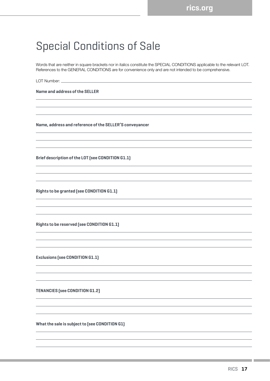## Special Conditions of Sale

Words that are neither in square brackets nor in italics constitute the SPECIAL CONDITIONS applicable to the relevant LOT. References to the GENERAL CONDITIONS are for convenience only and are not intended to be comprehensive.

LOT Number:

**Name and address of the SELLER**

**Name, address and reference of the SELLER'S conveyancer** 

**Brief description of the LOT (see CONDITION G1.1)** 

**Rights to be granted (see CONDITION G1.1)** 

**Rights to be reserved (see CONDITION G1.1)**

**Exclusions (see CONDITION G1.1)**

**TENANCIES (see CONDITION G1.2)**

**What the sale is subject to (see CONDITION G1)**

the control of the control of the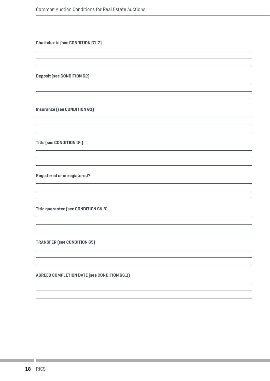**Chattels etc (see CONDITION G1.7)**

**Deposit (see CONDITION G2)**

**Insurance (see CONDITION G3)**

**Title (see CONDITION G4)**

**Registered or unregistered?**

**Title guarantee (see CONDITION G4.3)**

**TRANSFER (see CONDITION G5)**

**AGREED COMPLETION DATE (see CONDITION G6.1)**

and the control of the control of the control of the control of the control of the control of the control of the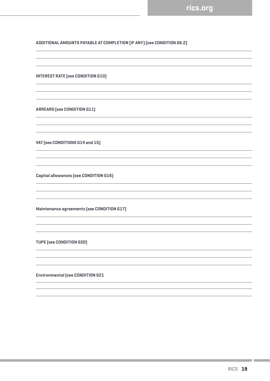## **ADDITIONAL AMOUNTS PAYABLE AT COMPLETION (IF ANY) (see CONDITION G6.2)**

**INTEREST RATE (see CONDITION G10)**

**ARREARS (see CONDITION G11)**

**VAT (see CONDITIONS G14 and 15)**

**Capital allowances (see CONDITION G16)**

**Maintenance agreements (see CONDITION G17)**

**TUPE (see CONDITION G20)** 

**Environmental (see CONDITION G21**

an an Sala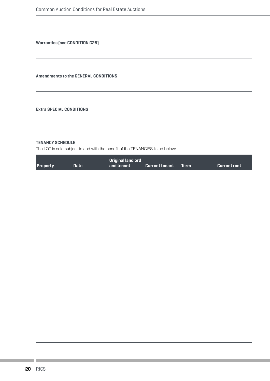**Warranties (see CONDITION G25)**

#### **Amendments to the GENERAL CONDITIONS**

#### **Extra SPECIAL CONDITIONS**

#### **TENANCY SCHEDULE**

The LOT is sold subject to and with the benefit of the TENANCIES listed below:

| Property | <b>Date</b> | Original landlord<br>and tenant | <b>Current tenant</b> | Term | <b>Current rent</b> |
|----------|-------------|---------------------------------|-----------------------|------|---------------------|
|          |             |                                 |                       |      |                     |
|          |             |                                 |                       |      |                     |
|          |             |                                 |                       |      |                     |
|          |             |                                 |                       |      |                     |
|          |             |                                 |                       |      |                     |
|          |             |                                 |                       |      |                     |
|          |             |                                 |                       |      |                     |
|          |             |                                 |                       |      |                     |
|          |             |                                 |                       |      |                     |
|          |             |                                 |                       |      |                     |
|          |             |                                 |                       |      |                     |
|          |             |                                 |                       |      |                     |

the contract of the contract of the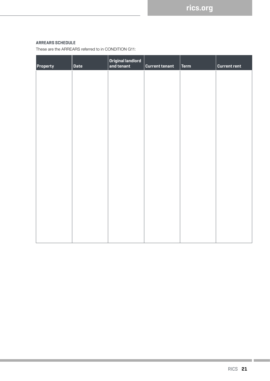## **ARREARS SCHEDULE**

These are the ARREARS referred to in CONDITION G11:

| <b>Property</b> | Date | Original landlord<br>and tenant | <b>Current tenant</b> | $ $ Term | <b>Current rent</b> |
|-----------------|------|---------------------------------|-----------------------|----------|---------------------|
|                 |      |                                 |                       |          |                     |
|                 |      |                                 |                       |          |                     |
|                 |      |                                 |                       |          |                     |
|                 |      |                                 |                       |          |                     |
|                 |      |                                 |                       |          |                     |
|                 |      |                                 |                       |          |                     |
|                 |      |                                 |                       |          |                     |
|                 |      |                                 |                       |          |                     |
|                 |      |                                 |                       |          |                     |
|                 |      |                                 |                       |          |                     |
|                 |      |                                 |                       |          |                     |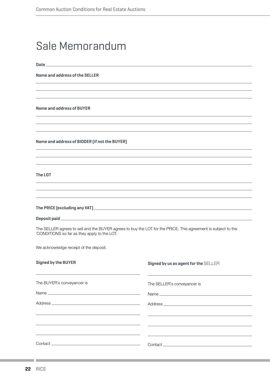## Sale Memorandum

**Date** 

**Name and address of the SELLER**

**Name and address of BUYER**

**Name and address of BIDDER (if not the BUYER)** 

**The LOT** 

**The PRICE (excluding any VAT)** 

**Deposit paid** 

The SELLER agrees to sell and the BUYER agrees to buy the LOT for the PRICE. This agreement is subject to the `CONDITIONS so far as they apply to the LOT.

We acknowledge receipt of the deposit.

| <b>Signed by the BUYER</b>                                                                                                                        | Signed by us as agent for the SELLER                                                                                                                                                                                                 |
|---------------------------------------------------------------------------------------------------------------------------------------------------|--------------------------------------------------------------------------------------------------------------------------------------------------------------------------------------------------------------------------------------|
| <u> 1989 - Andrea San Andrea San Andrea San Andrea San Andrea San Andrea San Andrea San Andrea San Andrea San A</u><br>The BUYER's conveyancer is | <u> 1989 - Andrea Santa Andrea Andrea Andrea Andrea Andrea Andrea Andrea Andrea Andrea Andrea Andrea Andrea Andr</u><br>The SELLER's conveyancer is                                                                                  |
|                                                                                                                                                   |                                                                                                                                                                                                                                      |
|                                                                                                                                                   |                                                                                                                                                                                                                                      |
|                                                                                                                                                   |                                                                                                                                                                                                                                      |
|                                                                                                                                                   |                                                                                                                                                                                                                                      |
|                                                                                                                                                   | <u>a sa mga barangay na mga barangay na mga barangay na mga barangay na mga barangay ng mga barangay ng mga barangay ng mga barangay ng mga barangay ng mga barangay ng mga barangay ng mga barangay ng mga barangay ng mga bara</u> |
|                                                                                                                                                   |                                                                                                                                                                                                                                      |

and the con-